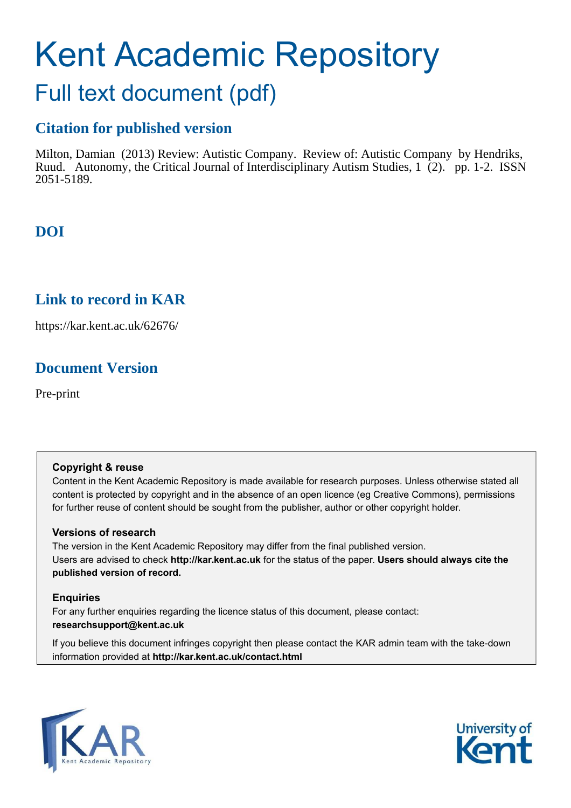# Kent Academic Repository Full text document (pdf)

## **Citation for published version**

Milton, Damian (2013) Review: Autistic Company. Review of: Autistic Company by Hendriks, Ruud. Autonomy, the Critical Journal of Interdisciplinary Autism Studies, 1 (2). pp. 1-2. ISSN 2051-5189.

### **DOI**

### **Link to record in KAR**

https://kar.kent.ac.uk/62676/

### **Document Version**

Pre-print

### **Copyright & reuse**

Content in the Kent Academic Repository is made available for research purposes. Unless otherwise stated all content is protected by copyright and in the absence of an open licence (eg Creative Commons), permissions for further reuse of content should be sought from the publisher, author or other copyright holder.

### **Versions of research**

The version in the Kent Academic Repository may differ from the final published version. Users are advised to check **http://kar.kent.ac.uk** for the status of the paper. **Users should always cite the published version of record.**

### **Enquiries**

For any further enquiries regarding the licence status of this document, please contact: **researchsupport@kent.ac.uk**

If you believe this document infringes copyright then please contact the KAR admin team with the take-down information provided at **http://kar.kent.ac.uk/contact.html**



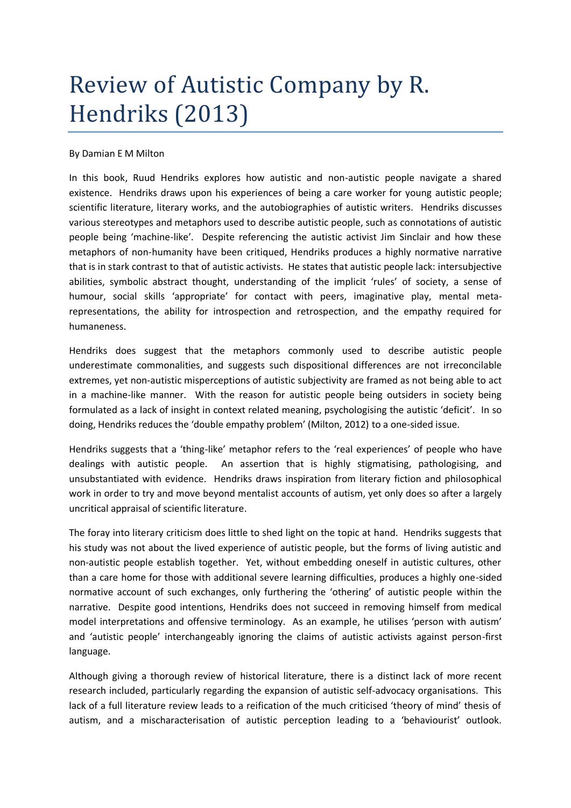## Review of Autistic Company by R. Hendriks (2013)

#### By Damian E M Milton

In this book, Ruud Hendriks explores how autistic and non-autistic people navigate a shared existence. Hendriks draws upon his experiences of being a care worker for young autistic people; scientific literature, literary works, and the autobiographies of autistic writers. Hendriks discusses various stereotypes and metaphors used to describe autistic people, such as connotations of autistic people being 'machine-like'. Despite referencing the autistic activist Jim Sinclair and how these metaphors of non-humanity have been critiqued, Hendriks produces a highly normative narrative that is in stark contrast to that of autistic activists. He states that autistic people lack: intersubjective abilities, symbolic abstract thought, understanding of the implicit 'rules' of society, a sense of humour, social skills 'appropriate' for contact with peers, imaginative play, mental metarepresentations, the ability for introspection and retrospection, and the empathy required for humaneness.

Hendriks does suggest that the metaphors commonly used to describe autistic people underestimate commonalities, and suggests such dispositional differences are not irreconcilable extremes, yet non-autistic misperceptions of autistic subjectivity are framed as not being able to act in a machine-like manner. With the reason for autistic people being outsiders in society being formulated as a lack of insight in context related meaning, psychologising the autistic 'deficit'. In so doing, Hendriks reduces the 'double empathy problem' (Milton, 2012) to a one-sided issue.

Hendriks suggests that a 'thing-like' metaphor refers to the 'real experiences' of people who have dealings with autistic people. An assertion that is highly stigmatising, pathologising, and unsubstantiated with evidence. Hendriks draws inspiration from literary fiction and philosophical work in order to try and move beyond mentalist accounts of autism, yet only does so after a largely uncritical appraisal of scientific literature.

The foray into literary criticism does little to shed light on the topic at hand. Hendriks suggests that his study was not about the lived experience of autistic people, but the forms of living autistic and non-autistic people establish together. Yet, without embedding oneself in autistic cultures, other than a care home for those with additional severe learning difficulties, produces a highly one-sided normative account of such exchanges, only furthering the 'othering' of autistic people within the narrative. Despite good intentions, Hendriks does not succeed in removing himself from medical model interpretations and offensive terminology. As an example, he utilises 'person with autism' and 'autistic people' interchangeably ignoring the claims of autistic activists against person-first language.

Although giving a thorough review of historical literature, there is a distinct lack of more recent research included, particularly regarding the expansion of autistic self-advocacy organisations. This lack of a full literature review leads to a reification of the much criticised 'theory of mind' thesis of autism, and a mischaracterisation of autistic perception leading to a 'behaviourist' outlook.